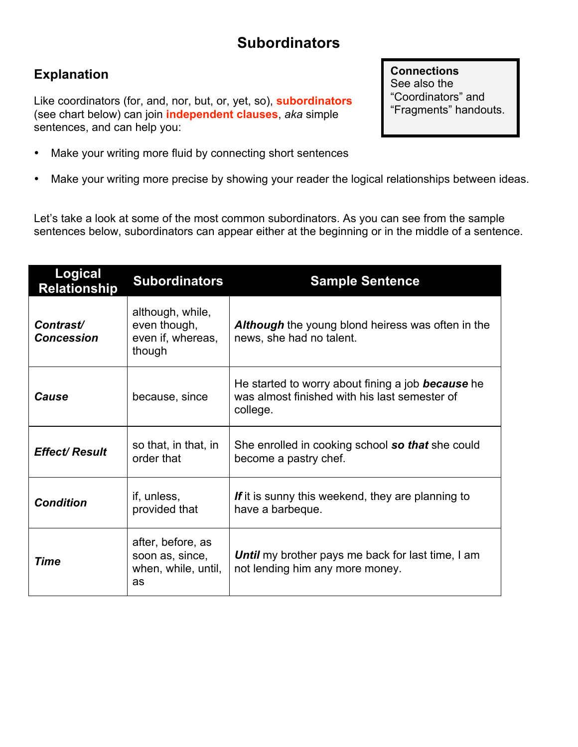# **Subordinators**

# **Explanation**

Like coordinators (for, and, nor, but, or, yet, so), **subordinators** (see chart below) can join **independent clauses**, *aka* simple sentences, and can help you:

- Make your writing more fluid by connecting short sentences
- Make your writing more precise by showing your reader the logical relationships between ideas.

Let's take a look at some of the most common subordinators. As you can see from the sample sentences below, subordinators can appear either at the beginning or in the middle of a sentence.

| <b>Logical</b><br><b>Relationship</b> | <b>Subordinators</b>                                              | <b>Sample Sentence</b>                                                                                                |
|---------------------------------------|-------------------------------------------------------------------|-----------------------------------------------------------------------------------------------------------------------|
| Contrast/<br><b>Concession</b>        | although, while,<br>even though,<br>even if, whereas,<br>though   | <b>Although</b> the young blond heiress was often in the<br>news, she had no talent.                                  |
| Cause                                 | because, since                                                    | He started to worry about fining a job <b>because</b> he<br>was almost finished with his last semester of<br>college. |
| <b>Effect/ Result</b>                 | so that, in that, in<br>order that                                | She enrolled in cooking school so that she could<br>become a pastry chef.                                             |
| <b>Condition</b>                      | if, unless,<br>provided that                                      | If it is sunny this weekend, they are planning to<br>have a barbeque.                                                 |
| <b>Time</b>                           | after, before, as<br>soon as, since,<br>when, while, until,<br>as | <b>Until</b> my brother pays me back for last time, I am<br>not lending him any more money.                           |

## **Connections** See also the "Coordinators" and "Fragments" handouts.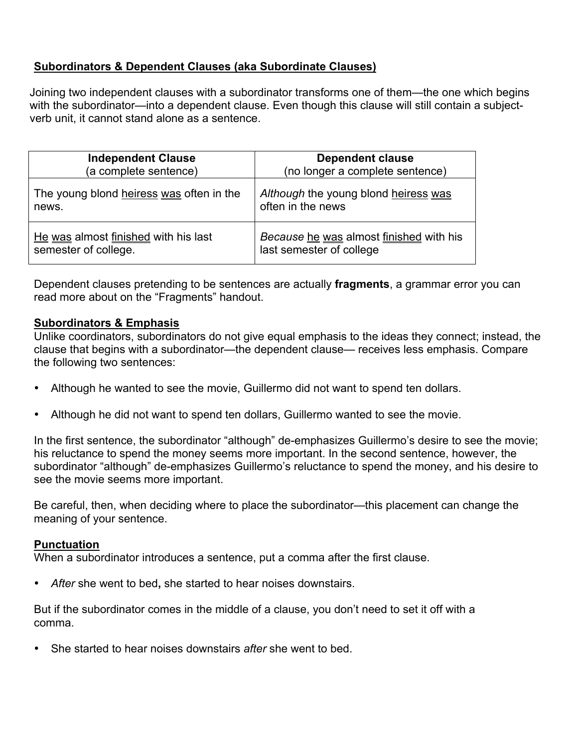## **Subordinators & Dependent Clauses (aka Subordinate Clauses)**

Joining two independent clauses with a subordinator transforms one of them—the one which begins with the subordinator—into a dependent clause. Even though this clause will still contain a subjectverb unit, it cannot stand alone as a sentence.

| <b>Independent Clause</b>                | <b>Dependent clause</b>                 |
|------------------------------------------|-----------------------------------------|
| (a complete sentence)                    | (no longer a complete sentence)         |
| The young blond heiress was often in the | Although the young blond heiress was    |
| news.                                    | often in the news                       |
| He was almost finished with his last     | Because he was almost finished with his |
| semester of college.                     | last semester of college                |

Dependent clauses pretending to be sentences are actually **fragments**, a grammar error you can read more about on the "Fragments" handout.

## **Subordinators & Emphasis**

Unlike coordinators, subordinators do not give equal emphasis to the ideas they connect; instead, the clause that begins with a subordinator—the dependent clause— receives less emphasis. Compare the following two sentences:

- Although he wanted to see the movie, Guillermo did not want to spend ten dollars.
- Although he did not want to spend ten dollars, Guillermo wanted to see the movie.

In the first sentence, the subordinator "although" de-emphasizes Guillermo's desire to see the movie; his reluctance to spend the money seems more important. In the second sentence, however, the subordinator "although" de-emphasizes Guillermo's reluctance to spend the money, and his desire to see the movie seems more important.

Be careful, then, when deciding where to place the subordinator—this placement can change the meaning of your sentence.

#### **Punctuation**

When a subordinator introduces a sentence, put a comma after the first clause.

• *After* she went to bed**,** she started to hear noises downstairs.

But if the subordinator comes in the middle of a clause, you don't need to set it off with a comma.

• She started to hear noises downstairs *after* she went to bed.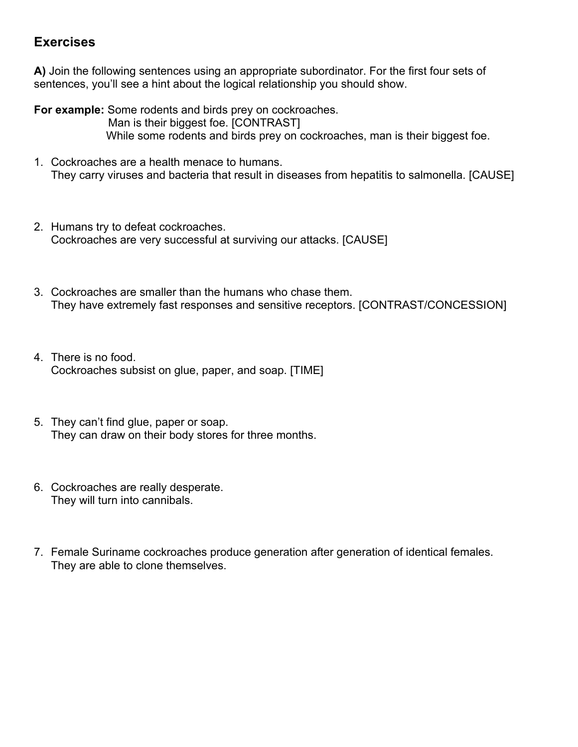# **Exercises**

**A)** Join the following sentences using an appropriate subordinator. For the first four sets of sentences, you'll see a hint about the logical relationship you should show.

**For example:** Some rodents and birds prey on cockroaches. Man is their biggest foe. [CONTRAST] While some rodents and birds prey on cockroaches, man is their biggest foe.

- 1. Cockroaches are a health menace to humans. They carry viruses and bacteria that result in diseases from hepatitis to salmonella. [CAUSE]
- 2. Humans try to defeat cockroaches. Cockroaches are very successful at surviving our attacks. [CAUSE]
- 3. Cockroaches are smaller than the humans who chase them. They have extremely fast responses and sensitive receptors. [CONTRAST/CONCESSION]
- 4. There is no food. Cockroaches subsist on glue, paper, and soap. [TIME]
- 5. They can't find glue, paper or soap. They can draw on their body stores for three months.
- 6. Cockroaches are really desperate. They will turn into cannibals.
- 7. Female Suriname cockroaches produce generation after generation of identical females. They are able to clone themselves.